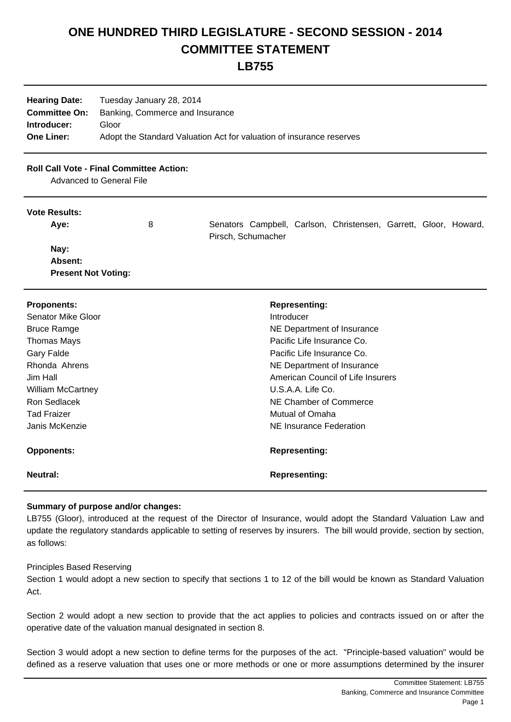# **ONE HUNDRED THIRD LEGISLATURE - SECOND SESSION - 2014 COMMITTEE STATEMENT**

# **LB755**

| <b>Hearing Date:</b> | Tuesday January 28, 2014                                             |
|----------------------|----------------------------------------------------------------------|
| <b>Committee On:</b> | Banking, Commerce and Insurance                                      |
| Introducer:          | Gloor                                                                |
| <b>One Liner:</b>    | Adopt the Standard Valuation Act for valuation of insurance reserves |

## **Roll Call Vote - Final Committee Action:**

Advanced to General File

#### **Vote Results:**

Aye: 8 8 Senators Campbell, Carlson, Christensen, Garrett, Gloor, Howard, Pirsch, Schumacher  **Nay: Absent: Present Not Voting:**

| <b>Proponents:</b> | <b>Representing:</b>              |
|--------------------|-----------------------------------|
| Senator Mike Gloor | Introducer                        |
| <b>Bruce Ramge</b> | NE Department of Insurance        |
| Thomas Mays        | Pacific Life Insurance Co.        |
| <b>Gary Falde</b>  | Pacific Life Insurance Co.        |
| Rhonda Ahrens      | NE Department of Insurance        |
| Jim Hall           | American Council of Life Insurers |
| William McCartney  | U.S.A.A. Life Co.                 |
| Ron Sedlacek       | NE Chamber of Commerce            |
| <b>Tad Fraizer</b> | Mutual of Omaha                   |
| Janis McKenzie     | NE Insurance Federation           |
| <b>Opponents:</b>  | <b>Representing:</b>              |
| Neutral:           | <b>Representing:</b>              |

### **Summary of purpose and/or changes:**

LB755 (Gloor), introduced at the request of the Director of Insurance, would adopt the Standard Valuation Law and update the regulatory standards applicable to setting of reserves by insurers. The bill would provide, section by section, as follows:

#### Principles Based Reserving

Section 1 would adopt a new section to specify that sections 1 to 12 of the bill would be known as Standard Valuation Act.

Section 2 would adopt a new section to provide that the act applies to policies and contracts issued on or after the operative date of the valuation manual designated in section 8.

Section 3 would adopt a new section to define terms for the purposes of the act. "Principle-based valuation" would be defined as a reserve valuation that uses one or more methods or one or more assumptions determined by the insurer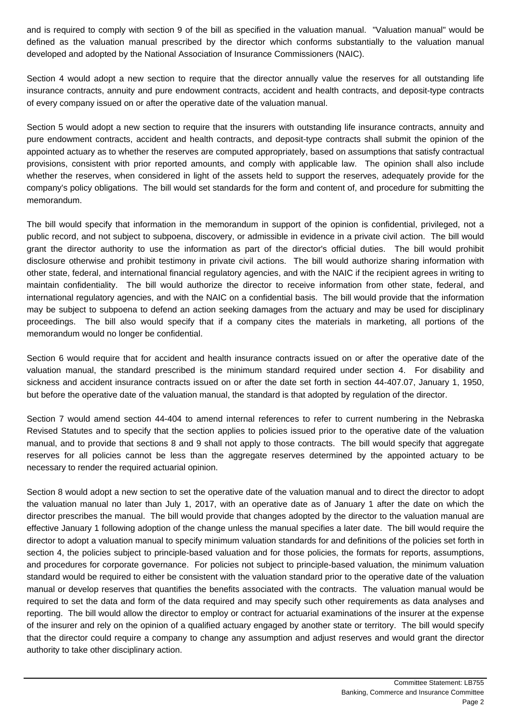and is required to comply with section 9 of the bill as specified in the valuation manual. "Valuation manual" would be defined as the valuation manual prescribed by the director which conforms substantially to the valuation manual developed and adopted by the National Association of Insurance Commissioners (NAIC).

Section 4 would adopt a new section to require that the director annually value the reserves for all outstanding life insurance contracts, annuity and pure endowment contracts, accident and health contracts, and deposit-type contracts of every company issued on or after the operative date of the valuation manual.

Section 5 would adopt a new section to require that the insurers with outstanding life insurance contracts, annuity and pure endowment contracts, accident and health contracts, and deposit-type contracts shall submit the opinion of the appointed actuary as to whether the reserves are computed appropriately, based on assumptions that satisfy contractual provisions, consistent with prior reported amounts, and comply with applicable law. The opinion shall also include whether the reserves, when considered in light of the assets held to support the reserves, adequately provide for the company's policy obligations. The bill would set standards for the form and content of, and procedure for submitting the memorandum.

The bill would specify that information in the memorandum in support of the opinion is confidential, privileged, not a public record, and not subject to subpoena, discovery, or admissible in evidence in a private civil action. The bill would grant the director authority to use the information as part of the director's official duties. The bill would prohibit disclosure otherwise and prohibit testimony in private civil actions. The bill would authorize sharing information with other state, federal, and international financial regulatory agencies, and with the NAIC if the recipient agrees in writing to maintain confidentiality. The bill would authorize the director to receive information from other state, federal, and international regulatory agencies, and with the NAIC on a confidential basis. The bill would provide that the information may be subject to subpoena to defend an action seeking damages from the actuary and may be used for disciplinary proceedings. The bill also would specify that if a company cites the materials in marketing, all portions of the memorandum would no longer be confidential.

Section 6 would require that for accident and health insurance contracts issued on or after the operative date of the valuation manual, the standard prescribed is the minimum standard required under section 4. For disability and sickness and accident insurance contracts issued on or after the date set forth in section 44-407.07, January 1, 1950, but before the operative date of the valuation manual, the standard is that adopted by regulation of the director.

Section 7 would amend section 44-404 to amend internal references to refer to current numbering in the Nebraska Revised Statutes and to specify that the section applies to policies issued prior to the operative date of the valuation manual, and to provide that sections 8 and 9 shall not apply to those contracts. The bill would specify that aggregate reserves for all policies cannot be less than the aggregate reserves determined by the appointed actuary to be necessary to render the required actuarial opinion.

Section 8 would adopt a new section to set the operative date of the valuation manual and to direct the director to adopt the valuation manual no later than July 1, 2017, with an operative date as of January 1 after the date on which the director prescribes the manual. The bill would provide that changes adopted by the director to the valuation manual are effective January 1 following adoption of the change unless the manual specifies a later date. The bill would require the director to adopt a valuation manual to specify minimum valuation standards for and definitions of the policies set forth in section 4, the policies subject to principle-based valuation and for those policies, the formats for reports, assumptions, and procedures for corporate governance. For policies not subject to principle-based valuation, the minimum valuation standard would be required to either be consistent with the valuation standard prior to the operative date of the valuation manual or develop reserves that quantifies the benefits associated with the contracts. The valuation manual would be required to set the data and form of the data required and may specify such other requirements as data analyses and reporting. The bill would allow the director to employ or contract for actuarial examinations of the insurer at the expense of the insurer and rely on the opinion of a qualified actuary engaged by another state or territory. The bill would specify that the director could require a company to change any assumption and adjust reserves and would grant the director authority to take other disciplinary action.